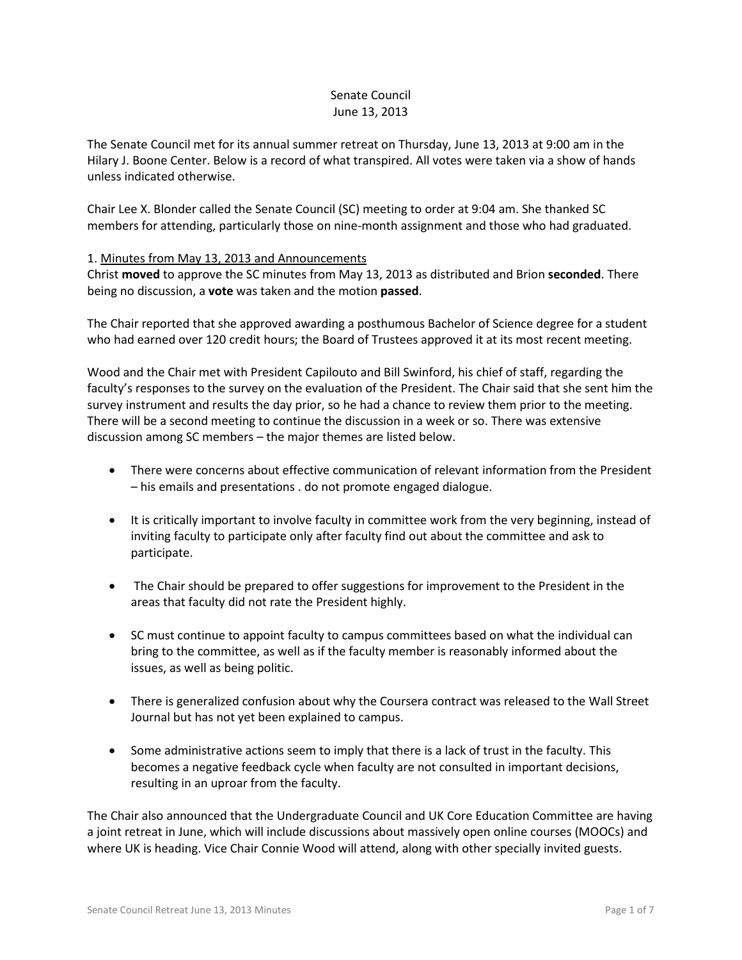## Senate Council June 13, 2013

The Senate Council met for its annual summer retreat on Thursday, June 13, 2013 at 9:00 am in the Hilary J. Boone Center. Below is a record of what transpired. All votes were taken via a show of hands unless indicated otherwise.

Chair Lee X. Blonder called the Senate Council (SC) meeting to order at 9:04 am. She thanked SC members for attending, particularly those on nine-month assignment and those who had graduated.

### 1. Minutes from May 13, 2013 and Announcements

Christ **moved** to approve the SC minutes from May 13, 2013 as distributed and Brion **seconded**. There being no discussion, a **vote** was taken and the motion **passed**.

The Chair reported that she approved awarding a posthumous Bachelor of Science degree for a student who had earned over 120 credit hours; the Board of Trustees approved it at its most recent meeting.

Wood and the Chair met with President Capilouto and Bill Swinford, his chief of staff, regarding the faculty's responses to the survey on the evaluation of the President. The Chair said that she sent him the survey instrument and results the day prior, so he had a chance to review them prior to the meeting. There will be a second meeting to continue the discussion in a week or so. There was extensive discussion among SC members – the major themes are listed below.

- There were concerns about effective communication of relevant information from the President – his emails and presentations . do not promote engaged dialogue.
- It is critically important to involve faculty in committee work from the very beginning, instead of inviting faculty to participate only after faculty find out about the committee and ask to participate.
- The Chair should be prepared to offer suggestions for improvement to the President in the areas that faculty did not rate the President highly.
- SC must continue to appoint faculty to campus committees based on what the individual can bring to the committee, as well as if the faculty member is reasonably informed about the issues, as well as being politic.
- There is generalized confusion about why the Coursera contract was released to the Wall Street Journal but has not yet been explained to campus.
- Some administrative actions seem to imply that there is a lack of trust in the faculty. This becomes a negative feedback cycle when faculty are not consulted in important decisions, resulting in an uproar from the faculty.

The Chair also announced that the Undergraduate Council and UK Core Education Committee are having a joint retreat in June, which will include discussions about massively open online courses (MOOCs) and where UK is heading. Vice Chair Connie Wood will attend, along with other specially invited guests.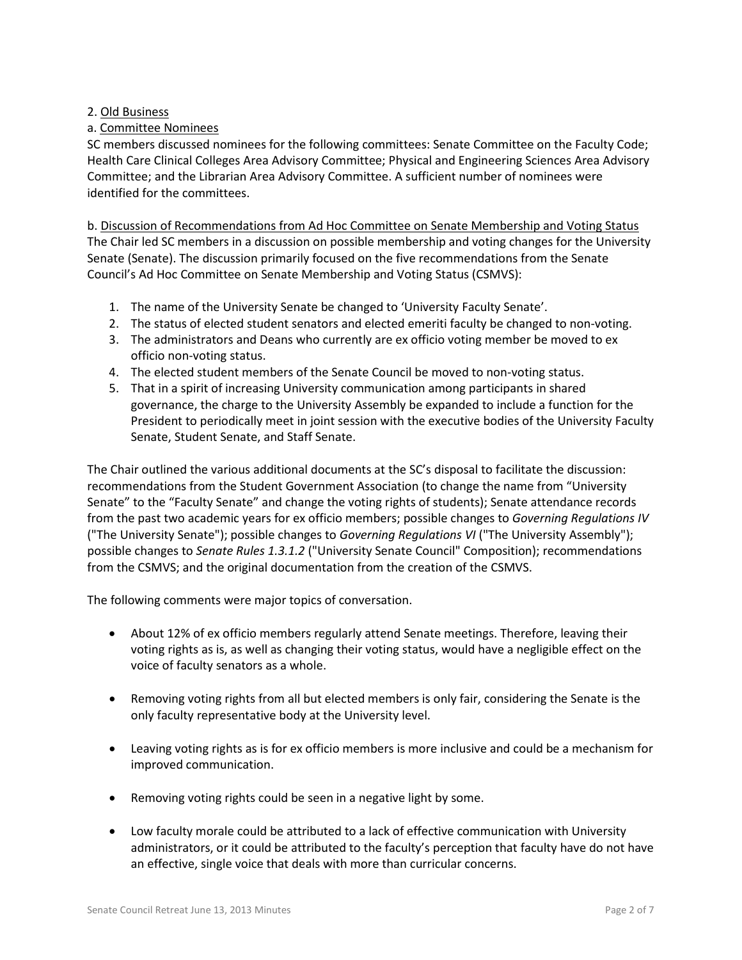## 2. Old Business

# a. Committee Nominees

SC members discussed nominees for the following committees: Senate Committee on the Faculty Code; Health Care Clinical Colleges Area Advisory Committee; Physical and Engineering Sciences Area Advisory Committee; and the Librarian Area Advisory Committee. A sufficient number of nominees were identified for the committees.

b. Discussion of Recommendations from Ad Hoc Committee on Senate Membership and Voting Status The Chair led SC members in a discussion on possible membership and voting changes for the University Senate (Senate). The discussion primarily focused on the five recommendations from the Senate Council's Ad Hoc Committee on Senate Membership and Voting Status (CSMVS):

- 1. The name of the University Senate be changed to 'University Faculty Senate'.
- 2. The status of elected student senators and elected emeriti faculty be changed to non-voting.
- 3. The administrators and Deans who currently are ex officio voting member be moved to ex officio non-voting status.
- 4. The elected student members of the Senate Council be moved to non-voting status.
- 5. That in a spirit of increasing University communication among participants in shared governance, the charge to the University Assembly be expanded to include a function for the President to periodically meet in joint session with the executive bodies of the University Faculty Senate, Student Senate, and Staff Senate.

The Chair outlined the various additional documents at the SC's disposal to facilitate the discussion: recommendations from the Student Government Association (to change the name from "University Senate" to the "Faculty Senate" and change the voting rights of students); Senate attendance records from the past two academic years for ex officio members; possible changes to *Governing Regulations IV* ("The University Senate"); possible changes to *Governing Regulations VI* ("The University Assembly"); possible changes to *Senate Rules 1.3.1.2* ("University Senate Council" Composition); recommendations from the CSMVS; and the original documentation from the creation of the CSMVS.

The following comments were major topics of conversation.

- About 12% of ex officio members regularly attend Senate meetings. Therefore, leaving their voting rights as is, as well as changing their voting status, would have a negligible effect on the voice of faculty senators as a whole.
- Removing voting rights from all but elected members is only fair, considering the Senate is the only faculty representative body at the University level.
- Leaving voting rights as is for ex officio members is more inclusive and could be a mechanism for improved communication.
- Removing voting rights could be seen in a negative light by some.
- Low faculty morale could be attributed to a lack of effective communication with University administrators, or it could be attributed to the faculty's perception that faculty have do not have an effective, single voice that deals with more than curricular concerns.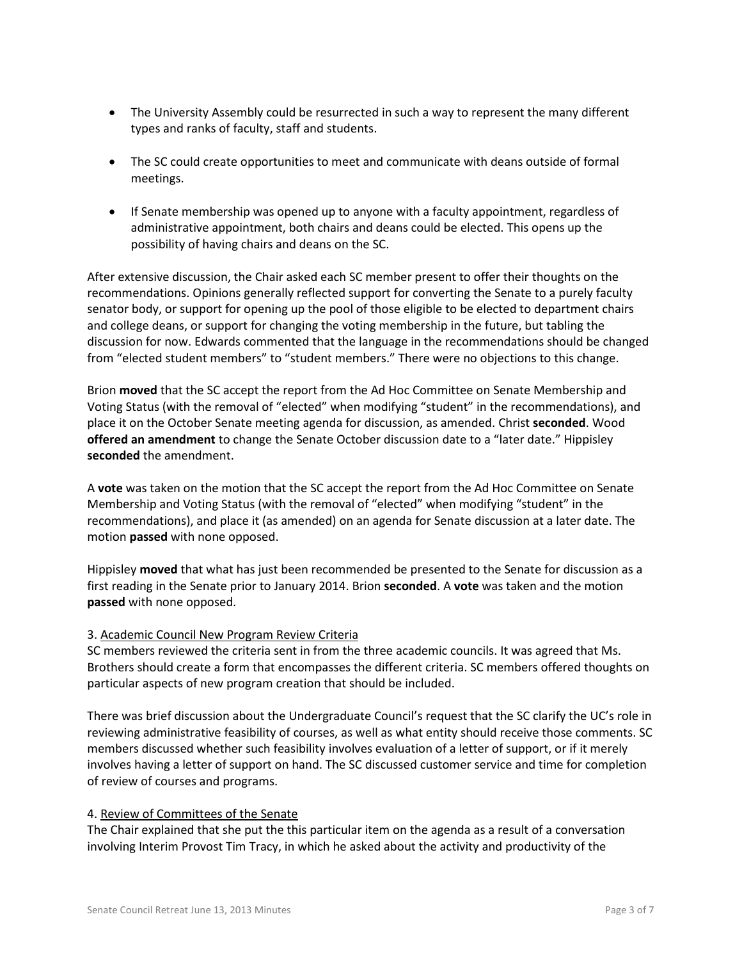- The University Assembly could be resurrected in such a way to represent the many different types and ranks of faculty, staff and students.
- The SC could create opportunities to meet and communicate with deans outside of formal meetings.
- If Senate membership was opened up to anyone with a faculty appointment, regardless of administrative appointment, both chairs and deans could be elected. This opens up the possibility of having chairs and deans on the SC.

After extensive discussion, the Chair asked each SC member present to offer their thoughts on the recommendations. Opinions generally reflected support for converting the Senate to a purely faculty senator body, or support for opening up the pool of those eligible to be elected to department chairs and college deans, or support for changing the voting membership in the future, but tabling the discussion for now. Edwards commented that the language in the recommendations should be changed from "elected student members" to "student members." There were no objections to this change.

Brion **moved** that the SC accept the report from the Ad Hoc Committee on Senate Membership and Voting Status (with the removal of "elected" when modifying "student" in the recommendations), and place it on the October Senate meeting agenda for discussion, as amended. Christ **seconded**. Wood **offered an amendment** to change the Senate October discussion date to a "later date." Hippisley **seconded** the amendment.

A **vote** was taken on the motion that the SC accept the report from the Ad Hoc Committee on Senate Membership and Voting Status (with the removal of "elected" when modifying "student" in the recommendations), and place it (as amended) on an agenda for Senate discussion at a later date. The motion **passed** with none opposed.

Hippisley **moved** that what has just been recommended be presented to the Senate for discussion as a first reading in the Senate prior to January 2014. Brion **seconded**. A **vote** was taken and the motion **passed** with none opposed.

# 3. Academic Council New Program Review Criteria

SC members reviewed the criteria sent in from the three academic councils. It was agreed that Ms. Brothers should create a form that encompasses the different criteria. SC members offered thoughts on particular aspects of new program creation that should be included.

There was brief discussion about the Undergraduate Council's request that the SC clarify the UC's role in reviewing administrative feasibility of courses, as well as what entity should receive those comments. SC members discussed whether such feasibility involves evaluation of a letter of support, or if it merely involves having a letter of support on hand. The SC discussed customer service and time for completion of review of courses and programs.

### 4. Review of Committees of the Senate

The Chair explained that she put the this particular item on the agenda as a result of a conversation involving Interim Provost Tim Tracy, in which he asked about the activity and productivity of the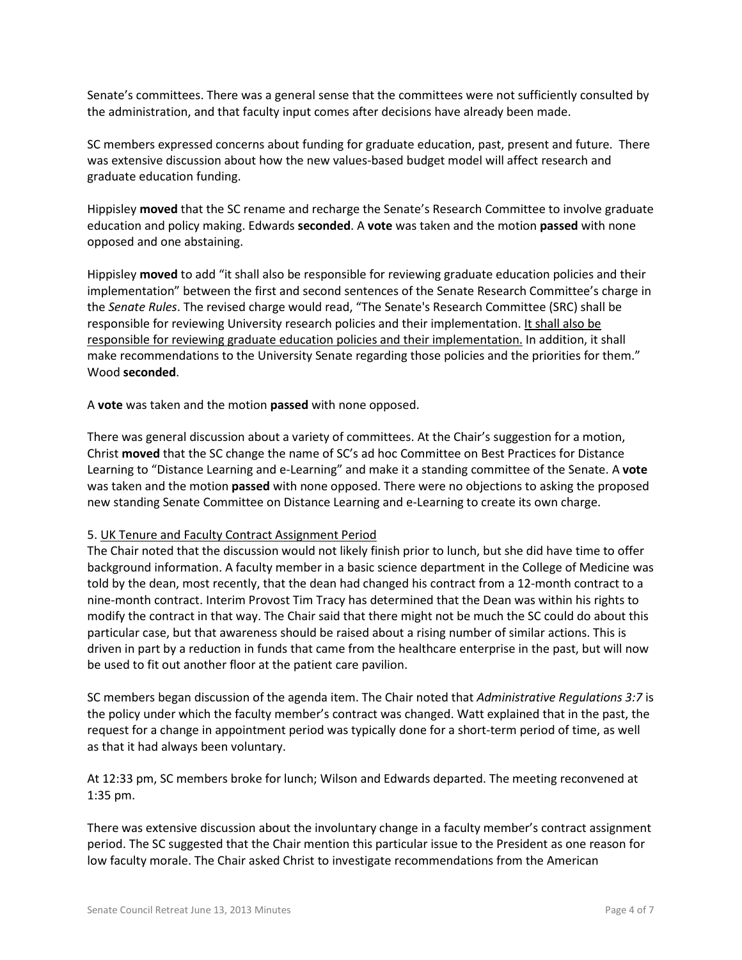Senate's committees. There was a general sense that the committees were not sufficiently consulted by the administration, and that faculty input comes after decisions have already been made.

SC members expressed concerns about funding for graduate education, past, present and future. There was extensive discussion about how the new values-based budget model will affect research and graduate education funding.

Hippisley **moved** that the SC rename and recharge the Senate's Research Committee to involve graduate education and policy making. Edwards **seconded**. A **vote** was taken and the motion **passed** with none opposed and one abstaining.

Hippisley **moved** to add "it shall also be responsible for reviewing graduate education policies and their implementation" between the first and second sentences of the Senate Research Committee's charge in the *Senate Rules*. The revised charge would read, "The Senate's Research Committee (SRC) shall be responsible for reviewing University research policies and their implementation. It shall also be responsible for reviewing graduate education policies and their implementation. In addition, it shall make recommendations to the University Senate regarding those policies and the priorities for them." Wood **seconded**.

A **vote** was taken and the motion **passed** with none opposed.

There was general discussion about a variety of committees. At the Chair's suggestion for a motion, Christ **moved** that the SC change the name of SC's ad hoc Committee on Best Practices for Distance Learning to "Distance Learning and e-Learning" and make it a standing committee of the Senate. A **vote** was taken and the motion **passed** with none opposed. There were no objections to asking the proposed new standing Senate Committee on Distance Learning and e-Learning to create its own charge.

### 5. UK Tenure and Faculty Contract Assignment Period

The Chair noted that the discussion would not likely finish prior to lunch, but she did have time to offer background information. A faculty member in a basic science department in the College of Medicine was told by the dean, most recently, that the dean had changed his contract from a 12-month contract to a nine-month contract. Interim Provost Tim Tracy has determined that the Dean was within his rights to modify the contract in that way. The Chair said that there might not be much the SC could do about this particular case, but that awareness should be raised about a rising number of similar actions. This is driven in part by a reduction in funds that came from the healthcare enterprise in the past, but will now be used to fit out another floor at the patient care pavilion.

SC members began discussion of the agenda item. The Chair noted that *Administrative Regulations 3:7* is the policy under which the faculty member's contract was changed. Watt explained that in the past, the request for a change in appointment period was typically done for a short-term period of time, as well as that it had always been voluntary.

At 12:33 pm, SC members broke for lunch; Wilson and Edwards departed. The meeting reconvened at 1:35 pm.

There was extensive discussion about the involuntary change in a faculty member's contract assignment period. The SC suggested that the Chair mention this particular issue to the President as one reason for low faculty morale. The Chair asked Christ to investigate recommendations from the American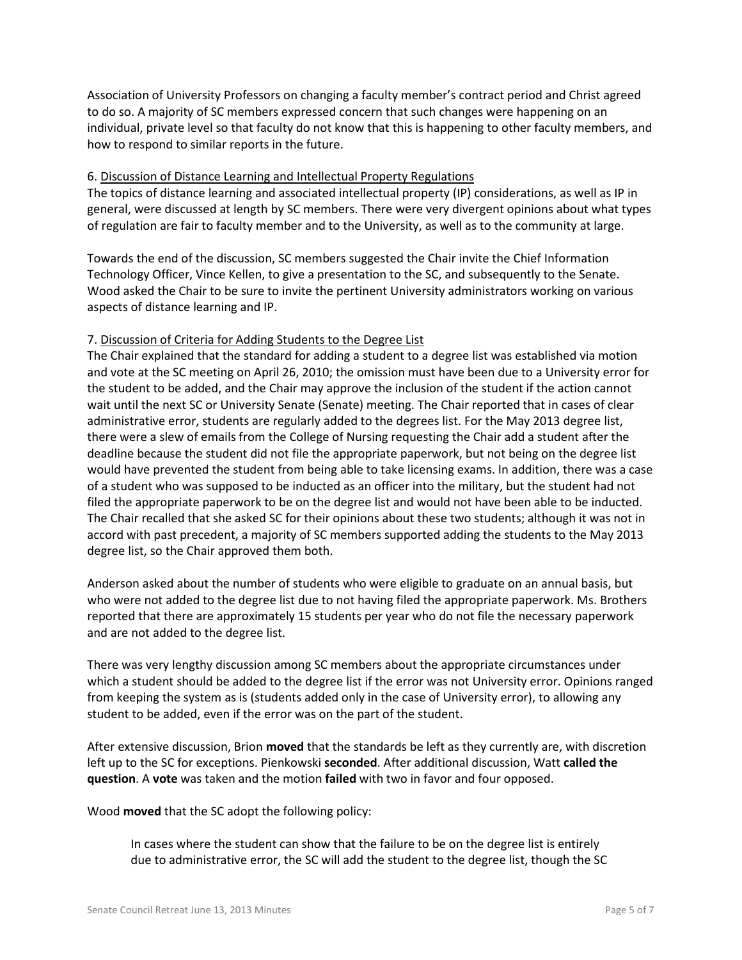Association of University Professors on changing a faculty member's contract period and Christ agreed to do so. A majority of SC members expressed concern that such changes were happening on an individual, private level so that faculty do not know that this is happening to other faculty members, and how to respond to similar reports in the future.

### 6. Discussion of Distance Learning and Intellectual Property Regulations

The topics of distance learning and associated intellectual property (IP) considerations, as well as IP in general, were discussed at length by SC members. There were very divergent opinions about what types of regulation are fair to faculty member and to the University, as well as to the community at large.

Towards the end of the discussion, SC members suggested the Chair invite the Chief Information Technology Officer, Vince Kellen, to give a presentation to the SC, and subsequently to the Senate. Wood asked the Chair to be sure to invite the pertinent University administrators working on various aspects of distance learning and IP.

#### 7. Discussion of Criteria for Adding Students to the Degree List

The Chair explained that the standard for adding a student to a degree list was established via motion and vote at the SC meeting on April 26, 2010; the omission must have been due to a University error for the student to be added, and the Chair may approve the inclusion of the student if the action cannot wait until the next SC or University Senate (Senate) meeting. The Chair reported that in cases of clear administrative error, students are regularly added to the degrees list. For the May 2013 degree list, there were a slew of emails from the College of Nursing requesting the Chair add a student after the deadline because the student did not file the appropriate paperwork, but not being on the degree list would have prevented the student from being able to take licensing exams. In addition, there was a case of a student who was supposed to be inducted as an officer into the military, but the student had not filed the appropriate paperwork to be on the degree list and would not have been able to be inducted. The Chair recalled that she asked SC for their opinions about these two students; although it was not in accord with past precedent, a majority of SC members supported adding the students to the May 2013 degree list, so the Chair approved them both.

Anderson asked about the number of students who were eligible to graduate on an annual basis, but who were not added to the degree list due to not having filed the appropriate paperwork. Ms. Brothers reported that there are approximately 15 students per year who do not file the necessary paperwork and are not added to the degree list.

There was very lengthy discussion among SC members about the appropriate circumstances under which a student should be added to the degree list if the error was not University error. Opinions ranged from keeping the system as is (students added only in the case of University error), to allowing any student to be added, even if the error was on the part of the student.

After extensive discussion, Brion **moved** that the standards be left as they currently are, with discretion left up to the SC for exceptions. Pienkowski **seconded**. After additional discussion, Watt **called the question**. A **vote** was taken and the motion **failed** with two in favor and four opposed.

Wood **moved** that the SC adopt the following policy:

In cases where the student can show that the failure to be on the degree list is entirely due to administrative error, the SC will add the student to the degree list, though the SC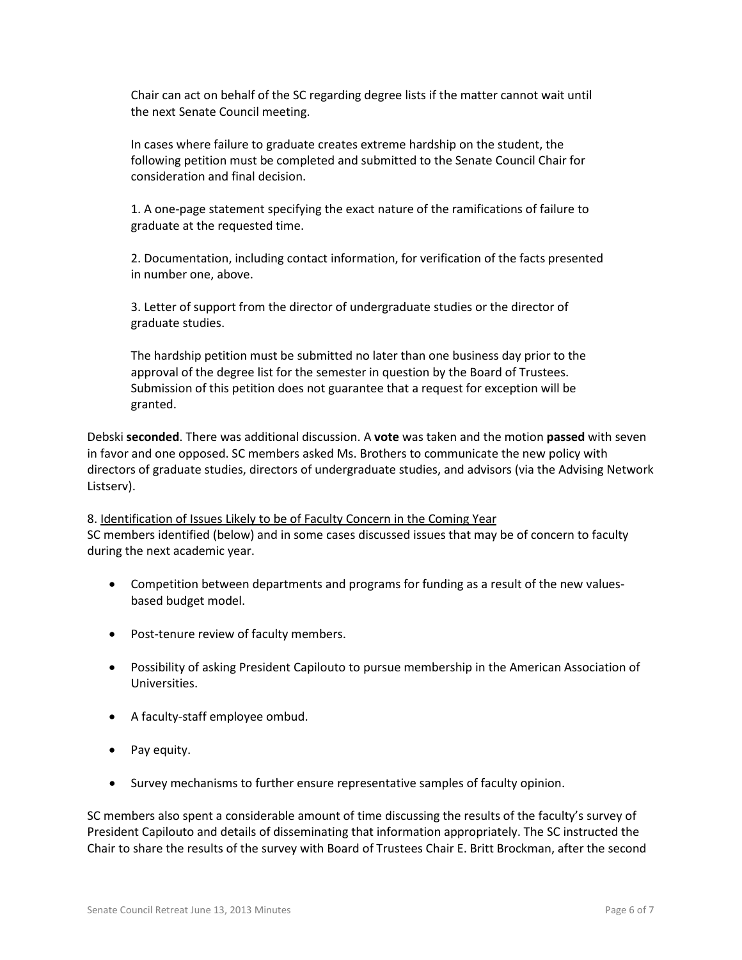Chair can act on behalf of the SC regarding degree lists if the matter cannot wait until the next Senate Council meeting.

In cases where failure to graduate creates extreme hardship on the student, the following petition must be completed and submitted to the Senate Council Chair for consideration and final decision.

1. A one-page statement specifying the exact nature of the ramifications of failure to graduate at the requested time.

2. Documentation, including contact information, for verification of the facts presented in number one, above.

3. Letter of support from the director of undergraduate studies or the director of graduate studies.

The hardship petition must be submitted no later than one business day prior to the approval of the degree list for the semester in question by the Board of Trustees. Submission of this petition does not guarantee that a request for exception will be granted.

Debski **seconded**. There was additional discussion. A **vote** was taken and the motion **passed** with seven in favor and one opposed. SC members asked Ms. Brothers to communicate the new policy with directors of graduate studies, directors of undergraduate studies, and advisors (via the Advising Network Listserv).

8. Identification of Issues Likely to be of Faculty Concern in the Coming Year SC members identified (below) and in some cases discussed issues that may be of concern to faculty during the next academic year.

- Competition between departments and programs for funding as a result of the new valuesbased budget model.
- Post-tenure review of faculty members.
- Possibility of asking President Capilouto to pursue membership in the American Association of Universities.
- A faculty-staff employee ombud.
- Pay equity.
- Survey mechanisms to further ensure representative samples of faculty opinion.

SC members also spent a considerable amount of time discussing the results of the faculty's survey of President Capilouto and details of disseminating that information appropriately. The SC instructed the Chair to share the results of the survey with Board of Trustees Chair E. Britt Brockman, after the second